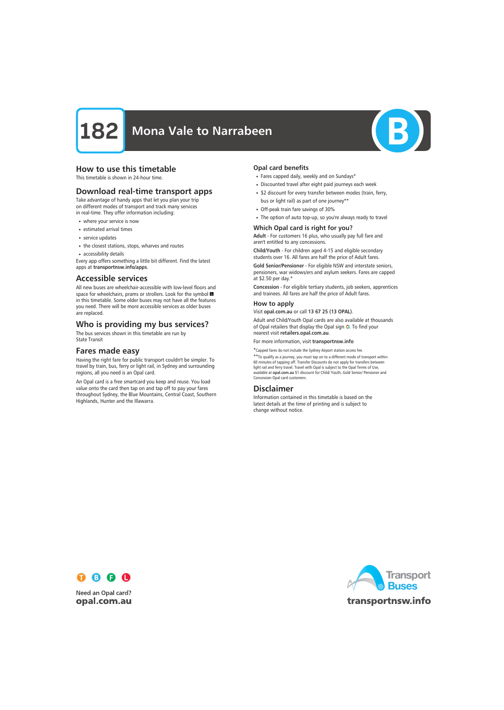

# How to use this timetable

This timetable is shown in 24-hour time.

# Download real-time transport apps

Take advantage of handy apps that let you plan your trip on different modes of transport and track many services in real-time. They offer information including:

- where your service is now
- estimated arrival times
- service updates
- the closest stations, stops, wharves and routes
- accessibility details

Every app offers something a little bit different. Find the latest apps at transportnsw.info/apps.

# Accessible services

All new buses are wheelchair-accessible with low-level floors and space for wheelchairs, prams or strollers. Look for the symbol in this timetable. Some older buses may not have all the features you need. There will be more accessible services as older buses are replaced.

# Who is providing my bus services?

The bus services shown in this timetable are run by State Transit

# Fares made easy

Having the right fare for public transport couldn't be simpler. To travel by train, bus, ferry or light rail, in Sydney and surrounding regions, all you need is an Opal card.

An Opal card is a free smartcard you keep and reuse. You load value onto the card then tap on and tap off to pay your fares throughout Sydney, the Blue Mountains, Central Coast, Southern Highlands, Hunter and the Illawarra.

### Opal card benefits

- Fares capped daily, weekly and on Sundays\*
- Discounted travel after eight paid journeys each week
- \$2 discount for every transfer between modes (train, ferry, bus or light rail) as part of one journey\*\*
- Off-peak train fare savings of 30%
- The option of auto top-up, so you're always ready to travel

### Which Opal card is right for you?

Adult - For customers 16 plus, who usually pay full fare and aren't entitled to any concessions.

Child/Youth - For children aged 4-15 and eligible secondary students over 16. All fares are half the price of Adult fares.

Gold Senior/Pensioner - For eligible NSW and interstate seniors, pensioners, war widows/ers and asylum seekers. Fares are capped at \$2.50 per day.\*

Concession - For eligible tertiary students, job seekers, apprentices and trainees. All fares are half the price of Adult fares.

#### How to apply

Visit opal.com.au or call 13 67 25 (13 OPAL).

Adult and Child/Youth Opal cards are also available at thousands of Opal retailers that display the Opal sign O. To find your nearest visit retailers.opal.com.au.

For more information, visit transportnsw.info

\*Capped fares do not include the Sydney Airport station access fee.

\*\*To qualify as a journey, you must tap on to a different mode of transport within 60 minutes of tapping off. Transfer Discounts do not apply for transfers between light rail and ferry travel. Travel with Opal is subject to the Opal Terms of Use, available at opal.com.au \$1 discount for Child/ Youth, Gold Senior/ Pensioner and Concession Opal card customers.

# Disclaimer

Information contained in this timetable is based on the latest details at the time of printing and is subject to change without notice.



**Need an Opal card?** opal.com.au

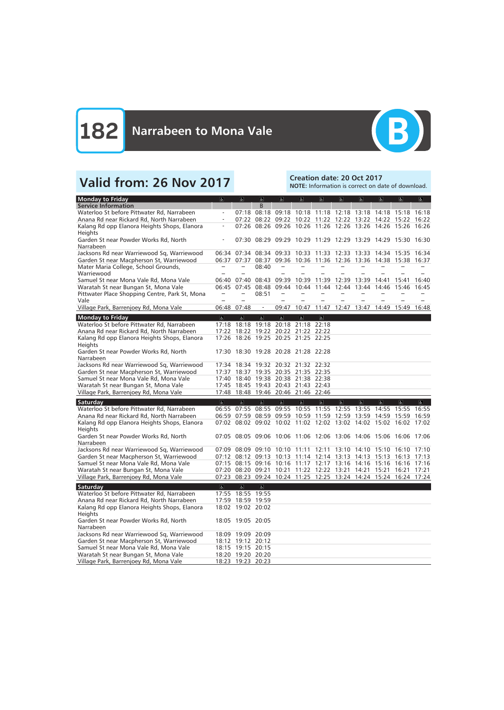

# Valid from: 26 Nov 2017<br>Note: Information is correct on da

NOTE: Information is correct on date of download.

| <b>Monday to Friday</b>                                                        | $\overline{a}$           | $\alpha$                                                          | $\overline{d}$           | $\overline{a}$                                              | $\overline{6}$    | $\overline{a}$          | $\overline{a}$                                  | $\sigma$                | $\alpha$ | $\overline{a}$    | $\overline{a}$ |
|--------------------------------------------------------------------------------|--------------------------|-------------------------------------------------------------------|--------------------------|-------------------------------------------------------------|-------------------|-------------------------|-------------------------------------------------|-------------------------|----------|-------------------|----------------|
| <b>Service Information</b>                                                     |                          |                                                                   | <sub>B</sub>             |                                                             |                   |                         |                                                 |                         |          |                   |                |
| Waterloo St before Pittwater Rd, Narrabeen                                     |                          | 07:18                                                             | 08:18                    | 09:18                                                       |                   |                         | 10:18 11:18 12:18 13:18 14:18 15:18             |                         |          |                   | 16:18          |
| Anana Rd near Rickard Rd, North Narrabeen                                      |                          |                                                                   |                          | 07:22 08:22 09:22 10:22 11:22 12:22 13:22 14:22 15:22 16:22 |                   |                         |                                                 |                         |          |                   |                |
| Kalang Rd opp Elanora Heights Shops, Elanora                                   | $\overline{\phantom{a}}$ |                                                                   |                          | 07:26 08:26 09:26 10:26 11:26 12:26 13:26 14:26 15:26 16:26 |                   |                         |                                                 |                         |          |                   |                |
| Heights                                                                        |                          |                                                                   |                          |                                                             |                   |                         |                                                 |                         |          |                   |                |
| Garden St near Powder Works Rd, North                                          |                          |                                                                   |                          | 07:30 08:29 09:29 10:29 11:29 12:29 13:29 14:29 15:30 16:30 |                   |                         |                                                 |                         |          |                   |                |
| Narrabeen                                                                      |                          |                                                                   |                          |                                                             |                   |                         |                                                 |                         |          |                   |                |
| Jacksons Rd near Warriewood Sq, Warriewood                                     |                          | 06:34 07:34                                                       |                          | 08:34 09:33 10:33 11:33 12:33 13:33                         |                   |                         |                                                 |                         |          | 14:34 15:35 16:34 |                |
| Garden St near Macpherson St, Warriewood                                       |                          | 06:37 07:37                                                       | 08:37                    |                                                             |                   |                         | 09:36 10:36 11:36 12:36 13:36 14:38 15:38 16:37 |                         |          |                   |                |
| Mater Maria College, School Grounds,                                           |                          |                                                                   | 08:40                    |                                                             |                   |                         |                                                 |                         |          |                   |                |
| Warriewood                                                                     |                          |                                                                   |                          |                                                             |                   |                         |                                                 |                         |          |                   |                |
| Samuel St near Mona Vale Rd, Mona Vale                                         |                          | $06:40$ $07:40$                                                   | 08:43                    | 09:39                                                       | 10:39             | 11:39                   | 12:39 13:39                                     |                         | 14:41    | 15:41             | 16:40          |
| Waratah St near Bungan St, Mona Vale                                           | 06:45                    | 07:45<br>$\overline{\phantom{a}}$                                 | 08:48                    | 09:44<br>÷,                                                 | 10:44             | 11:44                   | 12:44                                           | 13:44                   | 14:46    | 15:46             | 16:45          |
| Pittwater Place Shopping Centre, Park St, Mona                                 |                          |                                                                   | 08:51                    |                                                             |                   |                         |                                                 |                         |          |                   |                |
| Vale                                                                           |                          |                                                                   | $\overline{\phantom{a}}$ |                                                             | 10:47             |                         |                                                 |                         |          |                   |                |
| Village Park, Barrenjoey Rd, Mona Vale                                         |                          | 06:48 07:48                                                       |                          | 09:47                                                       |                   | 11:47                   | 12:47 13:47                                     |                         | 14:49    | 15:49             | 16:48          |
| <b>Monday to Friday</b>                                                        | $\overline{a}$           | $\overline{\mathbf{c}}$                                           | $\overline{\mathbf{r}}$  | $\overline{\mathbb{C}}$                                     | $\overline{6}$    | $\overline{\mathbf{c}}$ |                                                 |                         |          |                   |                |
| Waterloo St before Pittwater Rd, Narrabeen                                     |                          | 17:18 18:18                                                       | 19:18                    |                                                             | 20:18 21:18 22:18 |                         |                                                 |                         |          |                   |                |
| Anana Rd near Rickard Rd, North Narrabeen                                      |                          | 17:22 18:22                                                       |                          | 19:22 20:22 21:22 22:22                                     |                   |                         |                                                 |                         |          |                   |                |
| Kalang Rd opp Elanora Heights Shops, Elanora                                   | 17:26                    | 18:26                                                             |                          | 19:25 20:25 21:25 22:25                                     |                   |                         |                                                 |                         |          |                   |                |
| Heights                                                                        |                          |                                                                   |                          |                                                             |                   |                         |                                                 |                         |          |                   |                |
| Garden St near Powder Works Rd, North                                          |                          | 17:30 18:30 19:28 20:28 21:28 22:28                               |                          |                                                             |                   |                         |                                                 |                         |          |                   |                |
| Narrabeen                                                                      |                          |                                                                   |                          |                                                             |                   |                         |                                                 |                         |          |                   |                |
| Jacksons Rd near Warriewood Sq, Warriewood                                     | 17:34                    | 18:34                                                             |                          | 19:32 20:32 21:32 22:32                                     |                   |                         |                                                 |                         |          |                   |                |
| Garden St near Macpherson St, Warriewood                                       | 17:37                    | 18:37                                                             |                          | 19:35 20:35 21:35 22:35                                     |                   |                         |                                                 |                         |          |                   |                |
| Samuel St near Mona Vale Rd, Mona Vale                                         |                          | 17:40 18:40                                                       |                          | 19:38 20:38 21:38 22:38                                     |                   |                         |                                                 |                         |          |                   |                |
| Waratah St near Bungan St, Mona Vale                                           |                          | 17:45 18:45 19:43 20:43 21:43 22:43                               |                          |                                                             |                   |                         |                                                 |                         |          |                   |                |
| Village Park, Barrenjoey Rd, Mona Vale                                         |                          | 17:48 18:48 19:46 20:46 21:46 22:46                               |                          |                                                             |                   |                         |                                                 |                         |          |                   |                |
| Saturday                                                                       | $\sigma$                 | $\sigma$                                                          | $\overline{\mathbf{r}}$  | $\overline{a}$                                              | $\overline{d}$    | $\overline{a}$          | $\overline{\mathbf{b}}$                         | $\sigma$                | $\sigma$ | $\sigma$          | $\sigma$       |
| Waterloo St before Pittwater Rd, Narrabeen                                     |                          | 06:55 07:55 08:55                                                 |                          | 09:55 10:55 11:55                                           |                   |                         | 12:55 13:55                                     |                         | 14:55    | 15:55             | 16:55          |
| Anana Rd near Rickard Rd, North Narrabeen                                      |                          | 06:59 07:59 08:59 09:59 10:59 11:59 12:59 13:59 14:59             |                          |                                                             |                   |                         |                                                 |                         |          | 15:59             | 16:59          |
| Kalang Rd opp Elanora Heights Shops, Elanora                                   |                          | 07:02 08:02 09:02 10:02 11:02 12:02 13:02 14:02 15:02 16:02 17:02 |                          |                                                             |                   |                         |                                                 |                         |          |                   |                |
| Heights                                                                        |                          |                                                                   |                          |                                                             |                   |                         |                                                 |                         |          |                   |                |
| Garden St near Powder Works Rd, North                                          |                          | 07:05 08:05 09:06 10:06 11:06 12:06 13:06 14:06 15:06 16:06 17:06 |                          |                                                             |                   |                         |                                                 |                         |          |                   |                |
| Narrabeen                                                                      |                          |                                                                   |                          |                                                             |                   |                         |                                                 |                         |          |                   |                |
| Jacksons Rd near Warriewood Sq, Warriewood                                     |                          | 07:09 08:09 09:10 10:10 11:11                                     |                          |                                                             |                   | 12:11                   |                                                 | 13:10 14:10 15:10 16:10 |          |                   | 17:10          |
| Garden St near Macpherson St, Warriewood                                       |                          | 07:12 08:12 09:13 10:13 11:14 12:14 13:13 14:13 15:13 16:13 17:13 |                          |                                                             |                   |                         |                                                 |                         |          |                   |                |
| Samuel St near Mona Vale Rd, Mona Vale                                         |                          | 07:15 08:15 09:16 10:16 11:17 12:17 13:16 14:16 15:16 16:16 17:16 |                          |                                                             |                   |                         |                                                 |                         |          |                   |                |
| Waratah St near Bungan St, Mona Vale                                           |                          | 07:20 08:20 09:21                                                 |                          | 10:21 11:22 12:22 13:21 14:21 15:21 16:21 17:21             |                   |                         |                                                 |                         |          |                   |                |
| Village Park, Barrenjoey Rd, Mona Vale                                         |                          | 07:23 08:23 09:24 10:24 11:25 12:25 13:24 14:24 15:24 16:24 17:24 |                          |                                                             |                   |                         |                                                 |                         |          |                   |                |
| Saturday                                                                       | $\overline{6}$           | $\overline{\mathbf{a}}$                                           | $\overline{\mathbf{r}}$  |                                                             |                   |                         |                                                 |                         |          |                   |                |
| Waterloo St before Pittwater Rd, Narrabeen                                     |                          | 17:55 18:55 19:55                                                 |                          |                                                             |                   |                         |                                                 |                         |          |                   |                |
| Anana Rd near Rickard Rd, North Narrabeen                                      |                          | 17:59 18:59 19:59                                                 |                          |                                                             |                   |                         |                                                 |                         |          |                   |                |
| Kalang Rd opp Elanora Heights Shops, Elanora                                   |                          | 18:02 19:02 20:02                                                 |                          |                                                             |                   |                         |                                                 |                         |          |                   |                |
| Heights                                                                        |                          |                                                                   |                          |                                                             |                   |                         |                                                 |                         |          |                   |                |
| Garden St near Powder Works Rd, North                                          |                          | 18:05 19:05 20:05                                                 |                          |                                                             |                   |                         |                                                 |                         |          |                   |                |
| Narrabeen                                                                      |                          |                                                                   |                          |                                                             |                   |                         |                                                 |                         |          |                   |                |
|                                                                                |                          |                                                                   |                          |                                                             |                   |                         |                                                 |                         |          |                   |                |
| Jacksons Rd near Warriewood Sq, Warriewood                                     |                          | 18:09 19:09 20:09                                                 |                          |                                                             |                   |                         |                                                 |                         |          |                   |                |
| Garden St near Macpherson St, Warriewood                                       |                          | 18:12 19:12 20:12                                                 |                          |                                                             |                   |                         |                                                 |                         |          |                   |                |
| Samuel St near Mona Vale Rd, Mona Vale                                         |                          | 18:15 19:15 20:15                                                 |                          |                                                             |                   |                         |                                                 |                         |          |                   |                |
| Waratah St near Bungan St, Mona Vale<br>Village Park, Barrenjoey Rd, Mona Vale |                          | 18:20 19:20 20:20<br>18:23 19:23 20:23                            |                          |                                                             |                   |                         |                                                 |                         |          |                   |                |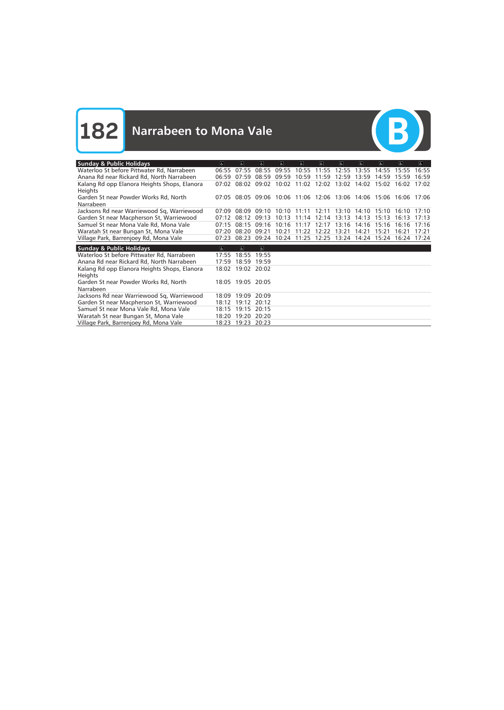**182** Narrabeen to Mona Vale



| <b>Sunday &amp; Public Holidays</b>                            | $\overline{a}$ | k.                | $\vert$  | d                                                                 | $\sigma$ | $\sigma$    | $\mathbf{A}$ | $\sigma$ | $ \mathbf{a} $ | $\overline{a}$ | $\mathbf{F}$ |
|----------------------------------------------------------------|----------------|-------------------|----------|-------------------------------------------------------------------|----------|-------------|--------------|----------|----------------|----------------|--------------|
| Waterloo St before Pittwater Rd, Narrabeen                     | 06:55          | 07.55             | 08:55    | 09:55                                                             |          | 10:55 11:55 | 12:55        | 13.55    | 14.55          | 15:55          | 16:55        |
| Anana Rd near Rickard Rd, North Narrabeen                      | 06:59          | 07:59             | 08:59    | 09:59                                                             | 10:59    | 11:59       | 12:59        | 13:59    | 14:59          | 15:59          | 16:59        |
| Kalang Rd opp Elanora Heights Shops, Elanora<br><b>Heights</b> | 07:02          | 08:02             | 09:02    | 10:02                                                             | 11:02    | 12:02       | 13:02        | 14:02    | 15:02          | 16:02          | 17:02        |
| Garden St near Powder Works Rd, North<br>Narrabeen             |                |                   |          | 07:05 08:05 09:06 10:06 11:06 12:06 13:06 14:06 15:06 16:06 17:06 |          |             |              |          |                |                |              |
| Jacksons Rd near Warriewood Sq, Warriewood                     | 07:09          | 08:09             | 09:10    | 10:10                                                             | 11:11    | 12:11       | 13:10        | 14:10    | 15:10          | 16:10          | 17:10        |
| Garden St near Macpherson St, Warriewood                       | 07:12          | 08:12             | 09:13    | 10:13                                                             | 11:14    | 12:14       | 13:13        | 14:13    | 15:13          | 16:13          | 17:13        |
| Samuel St near Mona Vale Rd, Mona Vale                         | 07:15          | 08:15             | 09:16    | 10:16                                                             | 11:17    | 12:17       | 13:16        | 14:16    | 15:16          | 16:16          | 17:16        |
| Waratah St near Bungan St, Mona Vale                           | 07:20          | 08:20             | 09:21    | 10:21                                                             |          | 11:22 12:22 | 13:21        | 14:21    | 15:21          | 16:21          | 17:21        |
| Village Park, Barrenjoey Rd, Mona Vale                         | 07:23          | 08:23             | 09:24    | 10:24                                                             |          | 11:25 12:25 | 13:24        | 14:24    | 15:24          | 16:24 17:24    |              |
| <b>Sunday &amp; Public Holidays</b>                            | $\overline{6}$ | $\overline{a}$    | $\sigma$ |                                                                   |          |             |              |          |                |                |              |
| Waterloo St before Pittwater Rd, Narrabeen                     | 17:55          | 18:55             | 19:55    |                                                                   |          |             |              |          |                |                |              |
| Anana Rd near Rickard Rd, North Narrabeen                      | 17:59          | 18:59             | 19:59    |                                                                   |          |             |              |          |                |                |              |
| Kalang Rd opp Elanora Heights Shops, Elanora<br><b>Heights</b> | 18:02          | 19:02 20:02       |          |                                                                   |          |             |              |          |                |                |              |
| Garden St near Powder Works Rd, North<br>Narrabeen             |                | 18:05 19:05 20:05 |          |                                                                   |          |             |              |          |                |                |              |
| Jacksons Rd near Warriewood Sq, Warriewood                     | 18:09          | 19:09             | 20:09    |                                                                   |          |             |              |          |                |                |              |
| Garden St near Macpherson St, Warriewood                       | 18:12          | 19:12             | 20:12    |                                                                   |          |             |              |          |                |                |              |
| Samuel St near Mona Vale Rd, Mona Vale                         | 18:15          | 19:15             | 20:15    |                                                                   |          |             |              |          |                |                |              |
| Waratah St near Bungan St, Mona Vale                           | 18:20          | 19:20             | 20:20    |                                                                   |          |             |              |          |                |                |              |
| Village Park, Barrenjoey Rd, Mona Vale                         |                | 18:23 19:23       | 20:23    |                                                                   |          |             |              |          |                |                |              |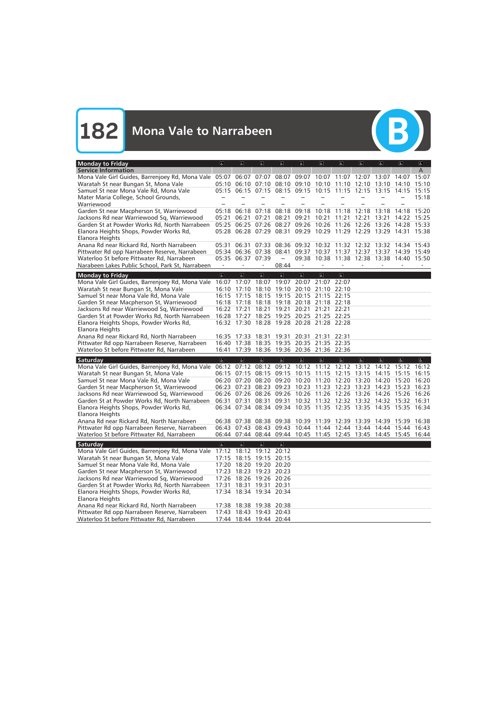

| Monday to Friday                                                                            | $\sigma$                | $ \mathbf{r} $                                                                         | $ \mathbf{f} $    | d                       | $\sigma$       | $\sigma$          | $\sigma$                                                          | $\sigma$       | $\overline{a}$                   | $ \mathbf{e} $ | $\mathbf{P}$            |
|---------------------------------------------------------------------------------------------|-------------------------|----------------------------------------------------------------------------------------|-------------------|-------------------------|----------------|-------------------|-------------------------------------------------------------------|----------------|----------------------------------|----------------|-------------------------|
| <b>Service Information</b>                                                                  |                         |                                                                                        |                   |                         |                |                   |                                                                   |                |                                  |                | A                       |
| Mona Vale Girl Guides, Barrenjoey Rd, Mona Vale 05:07 06:07                                 |                         |                                                                                        | 07:07             |                         |                |                   | 08:07 09:07 10:07 11:07 12:07 13:07                               |                |                                  | 14:07          | 15:07                   |
| Waratah St near Bungan St, Mona Vale                                                        |                         | $05:10$ $06:10$                                                                        | 07:10             | 08:10                   |                |                   | 09:10 10:10 11:10 12:10                                           |                | 13:10                            | 14:10          | 15:10                   |
| Samuel St near Mona Vale Rd, Mona Vale                                                      |                         |                                                                                        |                   |                         |                |                   | 05:15 06:15 07:15 08:15 09:15 10:15 11:15 12:15 13:15             |                |                                  | 14:15          | 15:15                   |
| Mater Maria College, School Grounds,                                                        |                         |                                                                                        |                   |                         |                |                   |                                                                   |                |                                  |                | 15:18                   |
| Warriewood                                                                                  |                         |                                                                                        |                   |                         |                |                   |                                                                   |                |                                  |                |                         |
| Garden St near Macpherson St, Warriewood                                                    | 05:18                   | 06:18                                                                                  | 07:18             | 08:18                   | 09:18          | 10:18             | 11:18                                                             | 12:18          | 13:18                            | 14:18          | 15:20                   |
| Jacksons Rd near Warriewood Sq, Warriewood                                                  | 05:21                   | 06:21                                                                                  | 07:21             | 08:21                   | 09:21 10:21    |                   | 11:21                                                             | 12:21          | 13:21                            | 14:22 15:25    |                         |
| Garden St at Powder Works Rd, North Narrabeen                                               | 05:25                   | 06:25                                                                                  | 07:26             | 08:27                   |                |                   | 09:26 10:26 11:26 12:26                                           |                | 13:26                            | 14:28 15:33    |                         |
| Elanora Heights Shops, Powder Works Rd,                                                     |                         |                                                                                        |                   |                         |                |                   | 05:28 06:28 07:29 08:31 09:29 10:29 11:29 12:29 13:29 14:31 15:38 |                |                                  |                |                         |
| Elanora Heights<br>Anana Rd near Rickard Rd, North Narrabeen                                | 05:31                   | 06:31                                                                                  | 07:33             |                         |                |                   | 08:36 09:32 10:32 11:32 12:32 13:32                               |                |                                  | 14:34 15:43    |                         |
| Pittwater Rd opp Narrabeen Reserve, Narrabeen                                               |                         | 05:34 06:36                                                                            | 07:38             | 08:41                   |                |                   | 09:37 10:37 11:37 12:37 13:37                                     |                |                                  | 14:39 15:49    |                         |
| Waterloo St before Pittwater Rd, Narrabeen                                                  |                         | 05:35 06:37                                                                            | 07:39             |                         |                |                   | 09:38 10:38 11:38 12:38 13:38 14:40 15:50                         |                |                                  |                |                         |
| Narabeen Lakes Public School, Park St, Narrabeen                                            |                         |                                                                                        |                   | 08:44                   |                |                   |                                                                   |                |                                  |                |                         |
|                                                                                             |                         |                                                                                        |                   |                         |                |                   |                                                                   |                |                                  |                |                         |
| <b>Monday to Friday</b>                                                                     | $\overline{\mathbf{c}}$ | $\overline{\mathbf{r}}$                                                                | $\sigma$          | $\mathbb{P}$            | $\overline{6}$ | $\sigma$          | $\overline{6}$                                                    |                |                                  |                |                         |
| Mona Vale Girl Guides, Barrenjoey Rd, Mona Vale                                             | 16:07                   | 17:07                                                                                  | 18:07             | 19:07                   |                | 20:07 21:07       | 22:07                                                             |                |                                  |                |                         |
| Waratah St near Bungan St, Mona Vale                                                        |                         | 16:10 17:10 18:10 19:10 20:10 21:10 22:10                                              |                   |                         |                |                   |                                                                   |                |                                  |                |                         |
| Samuel St near Mona Vale Rd, Mona Vale                                                      |                         | 16:15 17:15 18:15                                                                      |                   | 19:15 20:15 21:15 22:15 |                |                   |                                                                   |                |                                  |                |                         |
| Garden St near Macpherson St, Warriewood                                                    |                         | 16:18 17:18 18:18 19:18 20:18 21:18 22:18                                              |                   |                         |                |                   |                                                                   |                |                                  |                |                         |
| Jacksons Rd near Warriewood Sq, Warriewood                                                  |                         | 16:22 17:21                                                                            | 18:21             | 19:21                   |                | 20:21 21:21 22:21 |                                                                   |                |                                  |                |                         |
| Garden St at Powder Works Rd, North Narrabeen                                               |                         | 16:28 17:27 18:25 19:25 20:25 21:25 22:25<br>16:32 17:30 18:28 19:28 20:28 21:28 22:28 |                   |                         |                |                   |                                                                   |                |                                  |                |                         |
| Elanora Heights Shops, Powder Works Rd,<br>Elanora Heights                                  |                         |                                                                                        |                   |                         |                |                   |                                                                   |                |                                  |                |                         |
| Anana Rd near Rickard Rd, North Narrabeen                                                   |                         | 16:35 17:33 18:31                                                                      |                   | 19:31                   |                | 20:31 21:31       | 22:31                                                             |                |                                  |                |                         |
| Pittwater Rd opp Narrabeen Reserve, Narrabeen                                               |                         | 16:40 17:38 18:35 19:35 20:35 21:35 22:35                                              |                   |                         |                |                   |                                                                   |                |                                  |                |                         |
| Waterloo St before Pittwater Rd, Narrabeen                                                  |                         | 16:41 17:39 18:36 19:36 20:36 21:36 22:36                                              |                   |                         |                |                   |                                                                   |                |                                  |                |                         |
|                                                                                             |                         |                                                                                        |                   |                         |                |                   |                                                                   |                |                                  |                |                         |
| Saturday                                                                                    | $\overline{a}$          | $\overline{a}$                                                                         | $\overline{a}$    | $\overline{\mathbb{G}}$ | $\overline{6}$ | $\overline{b}$    | $\overline{b}$                                                    | $\overline{b}$ | $\overline{\sigma}$              | $ \mathbf{P} $ | $\overline{\mathbf{r}}$ |
| Mona Vale Girl Guides, Barrenjoey Rd, Mona Vale                                             |                         | 06:12 07:12                                                                            |                   |                         |                |                   | 08:12 09:12 10:12 11:12 12:12 13:12 14:12                         |                |                                  | 15:12          | 16:12                   |
| Waratah St near Bungan St, Mona Vale                                                        |                         | 06:15 07:15<br>06:20 07:20                                                             | 08:15             | 09:15                   |                |                   | 10:15 11:15 12:15 13:15                                           |                | 14:15                            | 15:15          | 16:15                   |
| Samuel St near Mona Vale Rd, Mona Vale                                                      |                         | 06:23 07:23                                                                            | 08:23 09:23       |                         |                | 10:23 11:23 12:23 | 08:20 09:20 10:20 11:20 12:20 13:20                               | 13:23          | 14:20 15:20 16:20<br>14:23 15:23 |                | 16:23                   |
| Garden St near Macpherson St, Warriewood                                                    |                         | 06:26 07:26                                                                            | 08:26 09:26       |                         |                |                   | 10:26 11:26 12:26 13:26                                           |                | 14:26                            | 15:26 16:26    |                         |
| Jacksons Rd near Warriewood Sq, Warriewood<br>Garden St at Powder Works Rd, North Narrabeen |                         | 06:31 07:31                                                                            | 08:31             | 09:31                   |                |                   | 10:32 11:32 12:32 13:32                                           |                | 14:32 15:32 16:31                |                |                         |
| Elanora Heights Shops, Powder Works Rd,                                                     |                         | 06:34 07:34 08:34 09:34 10:35 11:35 12:35                                              |                   |                         |                |                   |                                                                   |                | 13:35 14:35 15:35 16:34          |                |                         |
| Elanora Heights                                                                             |                         |                                                                                        |                   |                         |                |                   |                                                                   |                |                                  |                |                         |
| Anana Rd near Rickard Rd, North Narrabeen                                                   |                         |                                                                                        |                   |                         |                |                   | 06:38 07:38 08:38 09:38 10:39 11:39 12:39 13:39 14:39 15:39 16:38 |                |                                  |                |                         |
| Pittwater Rd opp Narrabeen Reserve, Narrabeen                                               |                         |                                                                                        |                   |                         |                |                   | 06:43 07:43 08:43 09:43 10:44 11:44 12:44 13:44 14:44 15:44 16:43 |                |                                  |                |                         |
| Waterloo St before Pittwater Rd, Narrabeen                                                  |                         |                                                                                        |                   |                         |                |                   | 06:44 07:44 08:44 09:44 10:45 11:45 12:45 13:45 14:45 15:45 16:44 |                |                                  |                |                         |
|                                                                                             | $\overline{\mathbf{g}}$ | $\overline{6}$                                                                         | $\overline{6}$    | $\overline{\mathbb{G}}$ |                |                   |                                                                   |                |                                  |                |                         |
| Saturday<br>Mona Vale Girl Guides, Barrenjoey Rd, Mona Vale                                 |                         | 17:12 18:12 19:12 20:12                                                                |                   |                         |                |                   |                                                                   |                |                                  |                |                         |
| Waratah St near Bungan St, Mona Vale                                                        | 17:15                   | 18:15 19:15                                                                            |                   | 20:15                   |                |                   |                                                                   |                |                                  |                |                         |
| Samuel St near Mona Vale Rd, Mona Vale                                                      |                         | 17:20 18:20 19:20 20:20                                                                |                   |                         |                |                   |                                                                   |                |                                  |                |                         |
| Garden St near Macpherson St, Warriewood                                                    |                         | 17:23 18:23 19:23 20:23                                                                |                   |                         |                |                   |                                                                   |                |                                  |                |                         |
| Jacksons Rd near Warriewood Sq, Warriewood                                                  | 17:26                   |                                                                                        | 18:26 19:26 20:26 |                         |                |                   |                                                                   |                |                                  |                |                         |
| Garden St at Powder Works Rd, North Narrabeen                                               | 17:31                   |                                                                                        | 18:31 19:31 20:31 |                         |                |                   |                                                                   |                |                                  |                |                         |
| Elanora Heights Shops, Powder Works Rd,                                                     |                         | 17:34 18:34 19:34 20:34                                                                |                   |                         |                |                   |                                                                   |                |                                  |                |                         |
| Elanora Heights                                                                             |                         |                                                                                        |                   |                         |                |                   |                                                                   |                |                                  |                |                         |
| Anana Rd near Rickard Rd, North Narrabeen                                                   |                         | 17:38 18:38 19:38 20:38                                                                |                   |                         |                |                   |                                                                   |                |                                  |                |                         |
| Pittwater Rd opp Narrabeen Reserve, Narrabeen                                               |                         | 17:43 18:43 19:43 20:43                                                                |                   |                         |                |                   |                                                                   |                |                                  |                |                         |
| Waterloo St before Pittwater Rd, Narrabeen                                                  |                         | 17:44 18:44 19:44 20:44                                                                |                   |                         |                |                   |                                                                   |                |                                  |                |                         |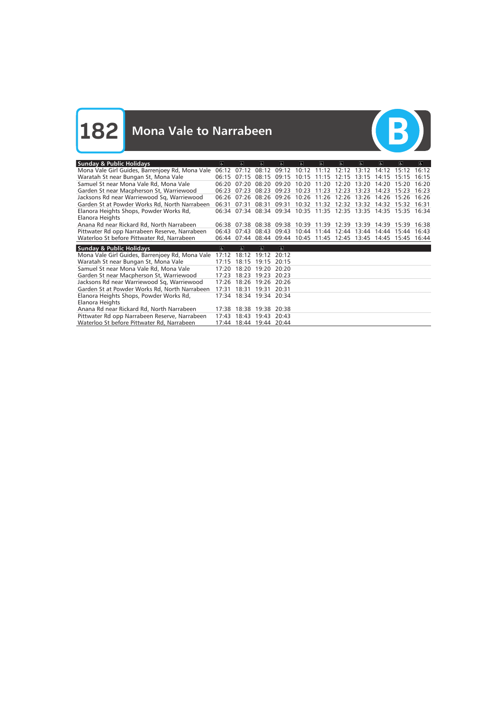

| <b>Sunday &amp; Public Holidays</b>                                                         | $\sigma$ | $\overline{a}$                   | $\sigma$    | $ \mathbf{f} \$ | $\sigma$ | 6                 | $\Delta$                                        | $\in$ | $\sigma$ | $\overline{a}$    | e     |
|---------------------------------------------------------------------------------------------|----------|----------------------------------|-------------|-----------------|----------|-------------------|-------------------------------------------------|-------|----------|-------------------|-------|
| Mona Vale Girl Guides, Barrenjoey Rd, Mona Vale                                             | 06:12    | 07.12                            | 08:12       | 09:12           | 10:12    | $11 \cdot 12$     | 12.12                                           | 13:12 | 14.12    | 15:12             | 16:12 |
| Waratah St near Bungan St, Mona Vale                                                        | 06:15    | 07:15                            | 08:15       | 09:15           | 10:15    | 11:15             | 12:15                                           | 13:15 | 14:15    | 15:15             | 16:15 |
| Samuel St near Mona Vale Rd, Mona Vale                                                      | 06:20    | 07:20                            | 08:20       | 09:20           | 10:20    | 11:20             | 12:20                                           | 13:20 | 14:20    | 15:20             | 16:20 |
| Garden St near Macpherson St, Warriewood                                                    | 06:23    | 07.23                            | 08:23       | 09:23           | 10:23    | 11:23             | 12:23                                           | 13:23 | 14:23    | 15:23             | 16:23 |
| Jacksons Rd near Warriewood Sq, Warriewood                                                  | 06:26    | 07.26                            | 08:26       | 09:26           | 10:26    | 11:26             | 12:26                                           | 13:26 | 14:26    | 15:26             | 16:26 |
| Garden St at Powder Works Rd, North Narrabeen                                               | 06:31    | 07:31                            | 08:31       | 09:31           |          | 10:32 11:32       | 12:32                                           | 13:32 | 14:32    | 15:32             | 16:31 |
| Elanora Heights Shops, Powder Works Rd,                                                     |          |                                  |             |                 |          |                   | 06:34 07:34 08:34 09:34 10:35 11:35 12:35 13:35 |       |          | 14:35 15:35 16:34 |       |
| Elanora Heights                                                                             |          |                                  |             |                 |          |                   |                                                 |       |          |                   |       |
| Anana Rd near Rickard Rd, North Narrabeen                                                   | 06:38    | 07:38                            | 08:38       | 09:38           |          | 10:39 11:39 12:39 |                                                 | 13:39 | 14:39    | 15:39             | 16:38 |
| Pittwater Rd opp Narrabeen Reserve, Narrabeen                                               | 06:43    | 07:43                            | 08:43       | 09:43           | 10:44    | 11:44             | 12:44                                           | 13:44 | 14:44    | 15:44             | 16:43 |
| Waterloo St before Pittwater Rd, Narrabeen                                                  | 06:44    | 07:44                            | 08:44       | 09:44           |          | 10:45 11:45 12:45 |                                                 | 13:45 | 14:45    | 15:45             | 16:44 |
|                                                                                             |          |                                  |             |                 |          |                   |                                                 |       |          |                   |       |
|                                                                                             |          |                                  |             |                 |          |                   |                                                 |       |          |                   |       |
| <b>Sunday &amp; Public Holidays</b>                                                         | $\sigma$ | $\sigma$                         | $\sigma$    | $\sigma$        |          |                   |                                                 |       |          |                   |       |
| Mona Vale Girl Guides, Barrenjoey Rd, Mona Vale                                             | 17:12    | 18:12                            | 19.12       | 20:12           |          |                   |                                                 |       |          |                   |       |
| Waratah St near Bungan St, Mona Vale                                                        | 17:15    | 18:15                            | 19:15       | 20:15           |          |                   |                                                 |       |          |                   |       |
| Samuel St near Mona Vale Rd, Mona Vale                                                      | 17:20    | 18:20                            | 19:20       | 20:20           |          |                   |                                                 |       |          |                   |       |
| Garden St near Macpherson St, Warriewood                                                    | 17:23    | 18:23                            | 19:23       | 20:23           |          |                   |                                                 |       |          |                   |       |
| Jacksons Rd near Warriewood Sq, Warriewood                                                  | 17:26    | 18:26                            | 19:26       | 20:26           |          |                   |                                                 |       |          |                   |       |
| Garden St at Powder Works Rd, North Narrabeen                                               | 17:31    | 18:31                            | 19:31       | 20:31           |          |                   |                                                 |       |          |                   |       |
| Elanora Heights Shops, Powder Works Rd,                                                     |          | 17:34 18:34                      | 19:34 20:34 |                 |          |                   |                                                 |       |          |                   |       |
| Elanora Heights                                                                             |          |                                  |             |                 |          |                   |                                                 |       |          |                   |       |
| Anana Rd near Rickard Rd, North Narrabeen                                                   | 17:38    | 18:38                            | 19:38       | 20:38           |          |                   |                                                 |       |          |                   |       |
| Pittwater Rd opp Narrabeen Reserve, Narrabeen<br>Waterloo St before Pittwater Rd, Narrabeen | 17:43    | 18:43<br>17:44 18:44 19:44 20:44 | 19:43       | 20:43           |          |                   |                                                 |       |          |                   |       |